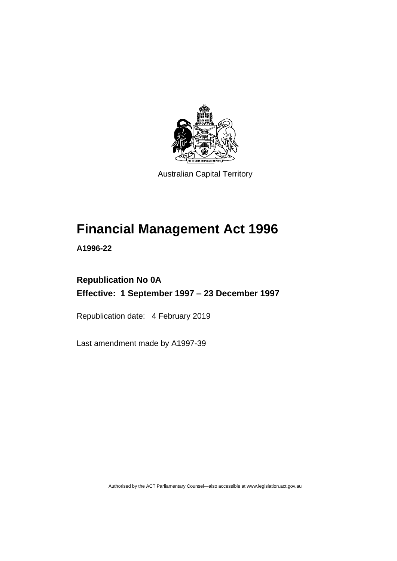

Australian Capital Territory

# **Financial Management Act 1996**

**A1996-22**

## **Republication No 0A Effective: 1 September 1997 – 23 December 1997**

Republication date: 4 February 2019

Last amendment made by A1997-39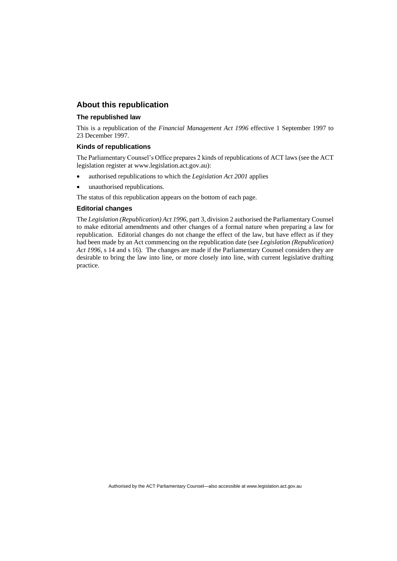## **About this republication**

#### **The republished law**

This is a republication of the *Financial Management Act 1996* effective 1 September 1997 to 23 December 1997.

#### **Kinds of republications**

The Parliamentary Counsel's Office prepares 2 kinds of republications of ACT laws (see the ACT legislation register at www.legislation.act.gov.au):

- authorised republications to which the *Legislation Act 2001* applies
- unauthorised republications.

The status of this republication appears on the bottom of each page.

#### **Editorial changes**

The *Legislation (Republication) Act 1996*, part 3, division 2 authorised the Parliamentary Counsel to make editorial amendments and other changes of a formal nature when preparing a law for republication. Editorial changes do not change the effect of the law, but have effect as if they had been made by an Act commencing on the republication date (see *Legislation (Republication) Act 1996*, s 14 and s 16). The changes are made if the Parliamentary Counsel considers they are desirable to bring the law into line, or more closely into line, with current legislative drafting practice.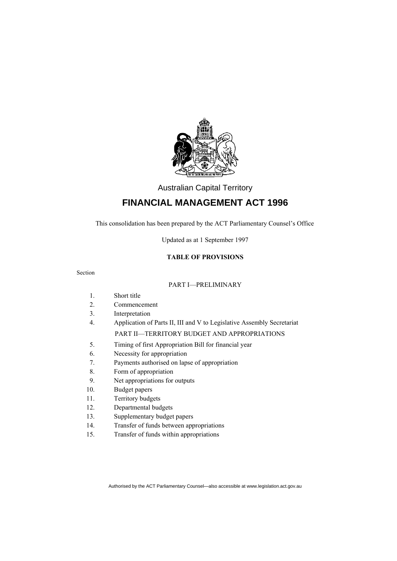

Australian Capital Territory

## **FINANCIAL MANAGEMENT ACT 1996**

This consolidation has been prepared by the ACT Parliamentary Counsel's Office

Updated as at 1 September 1997

## **TABLE OF PROVISIONS**

Section

#### PART I—PRELIMINARY

|     | Short title                                                            |  |  |  |  |
|-----|------------------------------------------------------------------------|--|--|--|--|
| 2.  | Commencement                                                           |  |  |  |  |
| 3.  | Interpretation                                                         |  |  |  |  |
| 4.  | Application of Parts II, III and V to Legislative Assembly Secretariat |  |  |  |  |
|     | <b>PART II—TERRITORY BUDGET AND APPROPRIATIONS</b>                     |  |  |  |  |
| 5.  | Timing of first Appropriation Bill for financial year                  |  |  |  |  |
| 6.  | Necessity for appropriation                                            |  |  |  |  |
| 7.  | Payments authorised on lapse of appropriation                          |  |  |  |  |
| 8.  | Form of appropriation                                                  |  |  |  |  |
| 9.  | Net appropriations for outputs                                         |  |  |  |  |
| 10. | Budget papers                                                          |  |  |  |  |

- 11. Territory budgets
- 12. Departmental budgets
- 13. Supplementary budget papers
- 14. Transfer of funds between appropriations
- 15. Transfer of funds within appropriations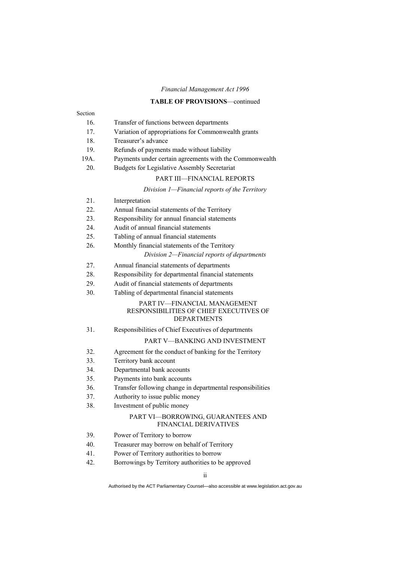## **TABLE OF PROVISIONS**—continued

| Section |                                                                                               |  |  |  |  |  |
|---------|-----------------------------------------------------------------------------------------------|--|--|--|--|--|
| 16.     | Transfer of functions between departments                                                     |  |  |  |  |  |
| 17.     | Variation of appropriations for Commonwealth grants                                           |  |  |  |  |  |
| 18.     | Treasurer's advance                                                                           |  |  |  |  |  |
| 19.     | Refunds of payments made without liability                                                    |  |  |  |  |  |
| 19A.    | Payments under certain agreements with the Commonwealth                                       |  |  |  |  |  |
| 20.     | Budgets for Legislative Assembly Secretariat                                                  |  |  |  |  |  |
|         | <b>PART III-FINANCIAL REPORTS</b>                                                             |  |  |  |  |  |
|         | Division 1-Financial reports of the Territory                                                 |  |  |  |  |  |
| 21.     | Interpretation                                                                                |  |  |  |  |  |
| 22.     | Annual financial statements of the Territory                                                  |  |  |  |  |  |
| 23.     | Responsibility for annual financial statements                                                |  |  |  |  |  |
| 24.     | Audit of annual financial statements                                                          |  |  |  |  |  |
| 25.     | Tabling of annual financial statements                                                        |  |  |  |  |  |
| 26.     | Monthly financial statements of the Territory                                                 |  |  |  |  |  |
|         | Division 2-Financial reports of departments                                                   |  |  |  |  |  |
| 27.     | Annual financial statements of departments                                                    |  |  |  |  |  |
| 28.     | Responsibility for departmental financial statements                                          |  |  |  |  |  |
| 29.     | Audit of financial statements of departments                                                  |  |  |  |  |  |
| 30.     | Tabling of departmental financial statements                                                  |  |  |  |  |  |
|         | PART IV-FINANCIAL MANAGEMENT<br>RESPONSIBILITIES OF CHIEF EXECUTIVES OF<br><b>DEPARTMENTS</b> |  |  |  |  |  |
| 31.     | Responsibilities of Chief Executives of departments                                           |  |  |  |  |  |
|         | PART V-BANKING AND INVESTMENT                                                                 |  |  |  |  |  |
| 32.     | Agreement for the conduct of banking for the Territory                                        |  |  |  |  |  |
| 33.     | Territory bank account                                                                        |  |  |  |  |  |
| 34.     | Departmental bank accounts                                                                    |  |  |  |  |  |
| 35.     | Payments into bank accounts                                                                   |  |  |  |  |  |
| 36.     | Transfer following change in departmental responsibilities                                    |  |  |  |  |  |
| 37.     | Authority to issue public money                                                               |  |  |  |  |  |
| 38.     | Investment of public money                                                                    |  |  |  |  |  |
|         | PART VI-BORROWING, GUARANTEES AND<br><b>FINANCIAL DERIVATIVES</b>                             |  |  |  |  |  |
| 39.     | Power of Territory to borrow                                                                  |  |  |  |  |  |
| 40.     | Treasurer may borrow on behalf of Territory                                                   |  |  |  |  |  |
| 41.     | Power of Territory authorities to borrow                                                      |  |  |  |  |  |
|         |                                                                                               |  |  |  |  |  |

42. Borrowings by Territory authorities to be approved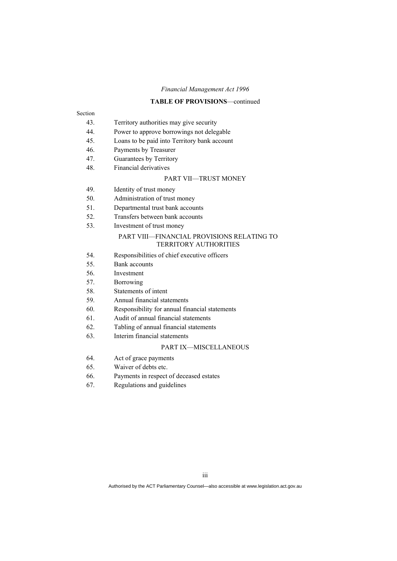#### **TABLE OF PROVISIONS**—continued

## Section

- 43. Territory authorities may give security
- 44. Power to approve borrowings not delegable
- 45. Loans to be paid into Territory bank account
- 46. Payments by Treasurer
- 47. Guarantees by Territory
- 48. Financial derivatives

## PART VII—TRUST MONEY

- 49. Identity of trust money
- 50. Administration of trust money
- 51. Departmental trust bank accounts
- 52. Transfers between bank accounts
- 53. Investment of trust money

#### PART VIII—FINANCIAL PROVISIONS RELATING TO TERRITORY AUTHORITIES

- 54. Responsibilities of chief executive officers
- 55. Bank accounts
- 56. Investment
- 57. Borrowing
- 58. Statements of intent
- 59. Annual financial statements
- 60. Responsibility for annual financial statements
- 61. Audit of annual financial statements
- 62. Tabling of annual financial statements
- 63. Interim financial statements

## PART IX—MISCELLANEOUS

- 64. Act of grace payments
- 65. Waiver of debts etc.
- 66. Payments in respect of deceased estates
- 67. Regulations and guidelines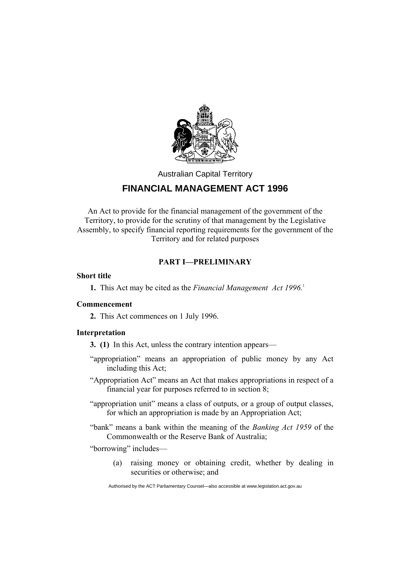

Australian Capital Territory

## **FINANCIAL MANAGEMENT ACT 1996**

An Act to provide for the financial management of the government of the Territory, to provide for the scrutiny of that management by the Legislative Assembly, to specify financial reporting requirements for the government of the Territory and for related purposes

## **PART I—PRELIMINARY**

## **Short title**

**1.** This Act may be cited as the *Financial Management Act 1996.*<sup>1</sup>

## **Commencement**

**2.** This Act commences on 1 July 1996.

## **Interpretation**

- **3. (1)** In this Act, unless the contrary intention appears—
- "appropriation" means an appropriation of public money by any Act including this Act;
- "Appropriation Act" means an Act that makes appropriations in respect of a financial year for purposes referred to in section 8;
- "appropriation unit" means a class of outputs, or a group of output classes, for which an appropriation is made by an Appropriation Act;
- "bank" means a bank within the meaning of the *Banking Act 1959* of the Commonwealth or the Reserve Bank of Australia;

"borrowing" includes—

(a) raising money or obtaining credit, whether by dealing in securities or otherwise; and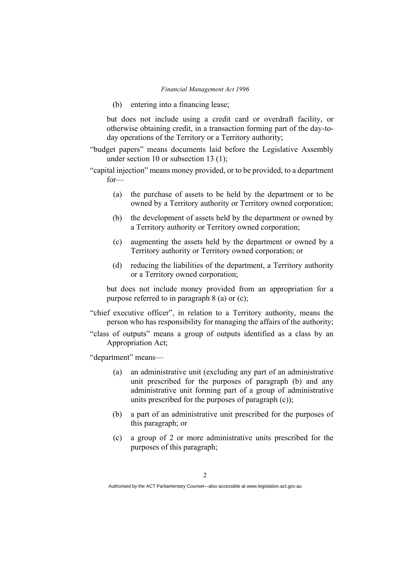(b) entering into a financing lease;

but does not include using a credit card or overdraft facility, or otherwise obtaining credit, in a transaction forming part of the day-today operations of the Territory or a Territory authority;

"budget papers" means documents laid before the Legislative Assembly under section 10 or subsection 13 (1);

"capital injection" means money provided, or to be provided, to a department for—

- (a) the purchase of assets to be held by the department or to be owned by a Territory authority or Territory owned corporation;
- (b) the development of assets held by the department or owned by a Territory authority or Territory owned corporation;
- (c) augmenting the assets held by the department or owned by a Territory authority or Territory owned corporation; or
- (d) reducing the liabilities of the department, a Territory authority or a Territory owned corporation;

but does not include money provided from an appropriation for a purpose referred to in paragraph 8 (a) or (c);

"chief executive officer", in relation to a Territory authority, means the person who has responsibility for managing the affairs of the authority;

"class of outputs" means a group of outputs identified as a class by an Appropriation Act;

"department" means—

- (a) an administrative unit (excluding any part of an administrative unit prescribed for the purposes of paragraph (b) and any administrative unit forming part of a group of administrative units prescribed for the purposes of paragraph (c));
- (b) a part of an administrative unit prescribed for the purposes of this paragraph; or
- (c) a group of 2 or more administrative units prescribed for the purposes of this paragraph;

Authorised by the ACT Parliamentary Counsel—also accessible at www.legislation.act.gov.au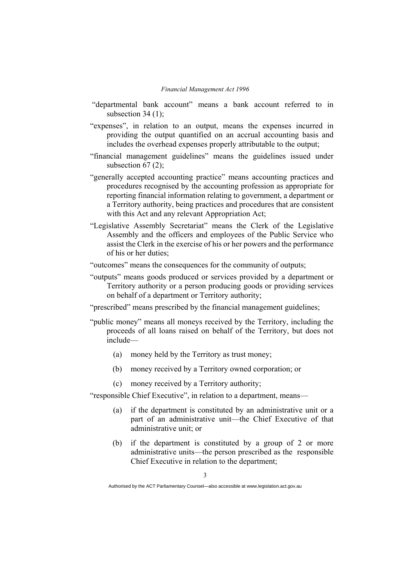- "departmental bank account" means a bank account referred to in subsection 34 (1):
- "expenses", in relation to an output, means the expenses incurred in providing the output quantified on an accrual accounting basis and includes the overhead expenses properly attributable to the output;
- "financial management guidelines" means the guidelines issued under subsection  $67(2)$ ;
- "generally accepted accounting practice" means accounting practices and procedures recognised by the accounting profession as appropriate for reporting financial information relating to government, a department or a Territory authority, being practices and procedures that are consistent with this Act and any relevant Appropriation Act;
- "Legislative Assembly Secretariat" means the Clerk of the Legislative Assembly and the officers and employees of the Public Service who assist the Clerk in the exercise of his or her powers and the performance of his or her duties;
- "outcomes" means the consequences for the community of outputs;
- "outputs" means goods produced or services provided by a department or Territory authority or a person producing goods or providing services on behalf of a department or Territory authority;
- "prescribed" means prescribed by the financial management guidelines;
- "public money" means all moneys received by the Territory, including the proceeds of all loans raised on behalf of the Territory, but does not include—
	- (a) money held by the Territory as trust money;
	- (b) money received by a Territory owned corporation; or
	- (c) money received by a Territory authority;

"responsible Chief Executive", in relation to a department, means—

- (a) if the department is constituted by an administrative unit or a part of an administrative unit—the Chief Executive of that administrative unit; or
- (b) if the department is constituted by a group of 2 or more administrative units—the person prescribed as the responsible Chief Executive in relation to the department;

Authorised by the ACT Parliamentary Counsel—also accessible at www.legislation.act.gov.au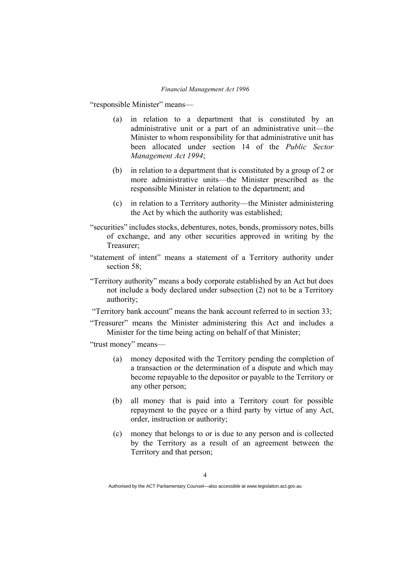"responsible Minister" means—

- (a) in relation to a department that is constituted by an administrative unit or a part of an administrative unit—the Minister to whom responsibility for that administrative unit has been allocated under section 14 of the *Public Sector Management Act 1994*;
- (b) in relation to a department that is constituted by a group of 2 or more administrative units—the Minister prescribed as the responsible Minister in relation to the department; and
- (c) in relation to a Territory authority—the Minister administering the Act by which the authority was established;
- "securities" includes stocks, debentures, notes, bonds, promissory notes, bills of exchange, and any other securities approved in writing by the Treasurer;
- "statement of intent" means a statement of a Territory authority under section 58:
- "Territory authority" means a body corporate established by an Act but does not include a body declared under subsection (2) not to be a Territory authority;
- "Territory bank account" means the bank account referred to in section 33;
- "Treasurer" means the Minister administering this Act and includes a Minister for the time being acting on behalf of that Minister;

"trust money" means—

- (a) money deposited with the Territory pending the completion of a transaction or the determination of a dispute and which may become repayable to the depositor or payable to the Territory or any other person;
- (b) all money that is paid into a Territory court for possible repayment to the payee or a third party by virtue of any Act, order, instruction or authority;
- (c) money that belongs to or is due to any person and is collected by the Territory as a result of an agreement between the Territory and that person;

Authorised by the ACT Parliamentary Counsel—also accessible at www.legislation.act.gov.au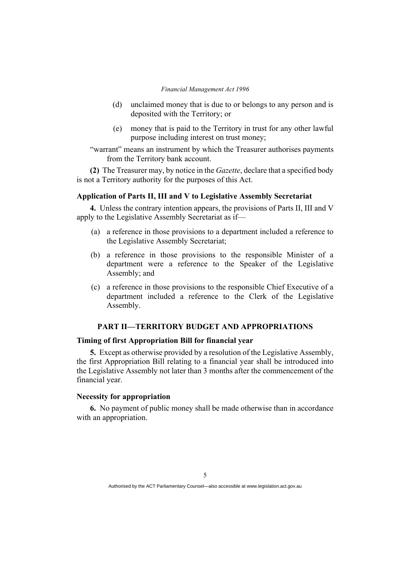- (d) unclaimed money that is due to or belongs to any person and is deposited with the Territory; or
- (e) money that is paid to the Territory in trust for any other lawful purpose including interest on trust money;
- "warrant" means an instrument by which the Treasurer authorises payments from the Territory bank account.

**(2)** The Treasurer may, by notice in the *Gazette*, declare that a specified body is not a Territory authority for the purposes of this Act.

## **Application of Parts II, III and V to Legislative Assembly Secretariat**

**4.** Unless the contrary intention appears, the provisions of Parts II, III and V apply to the Legislative Assembly Secretariat as if—

- (a) a reference in those provisions to a department included a reference to the Legislative Assembly Secretariat;
- (b) a reference in those provisions to the responsible Minister of a department were a reference to the Speaker of the Legislative Assembly; and
- (c) a reference in those provisions to the responsible Chief Executive of a department included a reference to the Clerk of the Legislative Assembly.

## **PART II—TERRITORY BUDGET AND APPROPRIATIONS**

## **Timing of first Appropriation Bill for financial year**

**5.** Except as otherwise provided by a resolution of the Legislative Assembly, the first Appropriation Bill relating to a financial year shall be introduced into the Legislative Assembly not later than 3 months after the commencement of the financial year.

## **Necessity for appropriation**

**6.** No payment of public money shall be made otherwise than in accordance with an appropriation.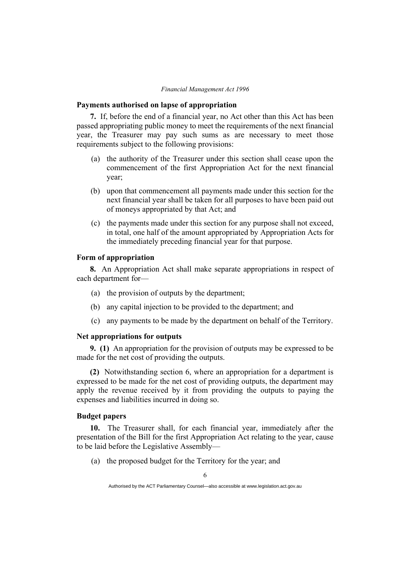#### **Payments authorised on lapse of appropriation**

**7.** If, before the end of a financial year, no Act other than this Act has been passed appropriating public money to meet the requirements of the next financial year, the Treasurer may pay such sums as are necessary to meet those requirements subject to the following provisions:

- (a) the authority of the Treasurer under this section shall cease upon the commencement of the first Appropriation Act for the next financial year;
- (b) upon that commencement all payments made under this section for the next financial year shall be taken for all purposes to have been paid out of moneys appropriated by that Act; and
- (c) the payments made under this section for any purpose shall not exceed, in total, one half of the amount appropriated by Appropriation Acts for the immediately preceding financial year for that purpose.

### **Form of appropriation**

**8.** An Appropriation Act shall make separate appropriations in respect of each department for—

- (a) the provision of outputs by the department;
- (b) any capital injection to be provided to the department; and
- (c) any payments to be made by the department on behalf of the Territory.

### **Net appropriations for outputs**

**9. (1)** An appropriation for the provision of outputs may be expressed to be made for the net cost of providing the outputs.

**(2)** Notwithstanding section 6, where an appropriation for a department is expressed to be made for the net cost of providing outputs, the department may apply the revenue received by it from providing the outputs to paying the expenses and liabilities incurred in doing so.

### **Budget papers**

**10.** The Treasurer shall, for each financial year, immediately after the presentation of the Bill for the first Appropriation Act relating to the year, cause to be laid before the Legislative Assembly—

(a) the proposed budget for the Territory for the year; and

Authorised by the ACT Parliamentary Counsel—also accessible at www.legislation.act.gov.au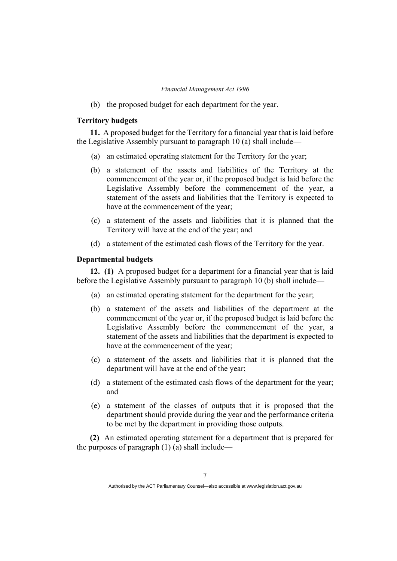(b) the proposed budget for each department for the year.

## **Territory budgets**

**11.** A proposed budget for the Territory for a financial year that is laid before the Legislative Assembly pursuant to paragraph 10 (a) shall include—

- (a) an estimated operating statement for the Territory for the year;
- (b) a statement of the assets and liabilities of the Territory at the commencement of the year or, if the proposed budget is laid before the Legislative Assembly before the commencement of the year, a statement of the assets and liabilities that the Territory is expected to have at the commencement of the year;
- (c) a statement of the assets and liabilities that it is planned that the Territory will have at the end of the year; and
- (d) a statement of the estimated cash flows of the Territory for the year.

## **Departmental budgets**

**12. (1)** A proposed budget for a department for a financial year that is laid before the Legislative Assembly pursuant to paragraph 10 (b) shall include—

- (a) an estimated operating statement for the department for the year;
- (b) a statement of the assets and liabilities of the department at the commencement of the year or, if the proposed budget is laid before the Legislative Assembly before the commencement of the year, a statement of the assets and liabilities that the department is expected to have at the commencement of the year;
- (c) a statement of the assets and liabilities that it is planned that the department will have at the end of the year;
- (d) a statement of the estimated cash flows of the department for the year; and
- (e) a statement of the classes of outputs that it is proposed that the department should provide during the year and the performance criteria to be met by the department in providing those outputs.

**(2)** An estimated operating statement for a department that is prepared for the purposes of paragraph  $(1)$  (a) shall include—

Authorised by the ACT Parliamentary Counsel—also accessible at www.legislation.act.gov.au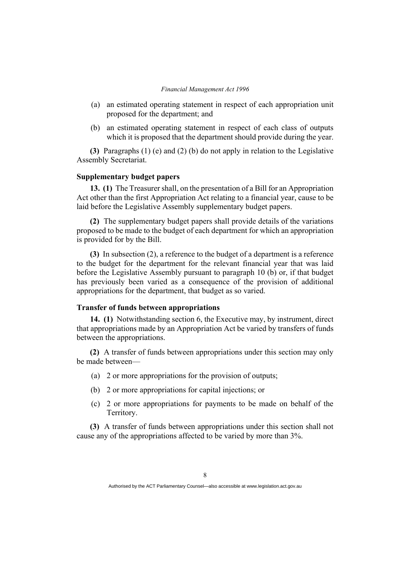- (a) an estimated operating statement in respect of each appropriation unit proposed for the department; and
- (b) an estimated operating statement in respect of each class of outputs which it is proposed that the department should provide during the year.

**(3)** Paragraphs (1) (e) and (2) (b) do not apply in relation to the Legislative Assembly Secretariat.

### **Supplementary budget papers**

**13. (1)** The Treasurer shall, on the presentation of a Bill for an Appropriation Act other than the first Appropriation Act relating to a financial year, cause to be laid before the Legislative Assembly supplementary budget papers.

**(2)** The supplementary budget papers shall provide details of the variations proposed to be made to the budget of each department for which an appropriation is provided for by the Bill.

**(3)** In subsection (2), a reference to the budget of a department is a reference to the budget for the department for the relevant financial year that was laid before the Legislative Assembly pursuant to paragraph 10 (b) or, if that budget has previously been varied as a consequence of the provision of additional appropriations for the department, that budget as so varied.

## **Transfer of funds between appropriations**

**14. (1)** Notwithstanding section 6, the Executive may, by instrument, direct that appropriations made by an Appropriation Act be varied by transfers of funds between the appropriations.

**(2)** A transfer of funds between appropriations under this section may only be made between—

- (a) 2 or more appropriations for the provision of outputs;
- (b) 2 or more appropriations for capital injections; or
- (c) 2 or more appropriations for payments to be made on behalf of the Territory.

**(3)** A transfer of funds between appropriations under this section shall not cause any of the appropriations affected to be varied by more than 3%.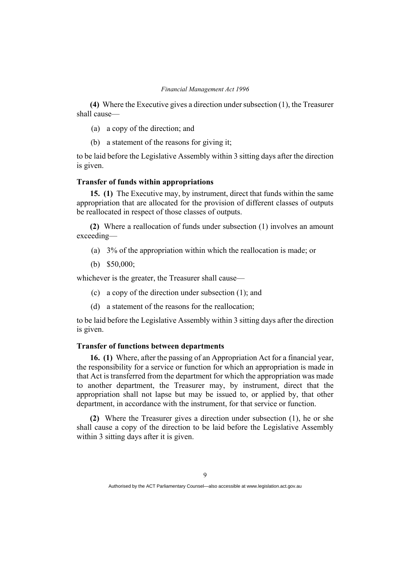**(4)** Where the Executive gives a direction under subsection (1), the Treasurer shall cause—

- (a) a copy of the direction; and
- (b) a statement of the reasons for giving it;

to be laid before the Legislative Assembly within 3 sitting days after the direction is given.

### **Transfer of funds within appropriations**

**15. (1)** The Executive may, by instrument, direct that funds within the same appropriation that are allocated for the provision of different classes of outputs be reallocated in respect of those classes of outputs.

**(2)** Where a reallocation of funds under subsection (1) involves an amount exceeding—

- (a) 3% of the appropriation within which the reallocation is made; or
- (b) \$50,000;

whichever is the greater, the Treasurer shall cause—

- (c) a copy of the direction under subsection (1); and
- (d) a statement of the reasons for the reallocation;

to be laid before the Legislative Assembly within 3 sitting days after the direction is given.

## **Transfer of functions between departments**

**16. (1)** Where, after the passing of an Appropriation Act for a financial year, the responsibility for a service or function for which an appropriation is made in that Act is transferred from the department for which the appropriation was made to another department, the Treasurer may, by instrument, direct that the appropriation shall not lapse but may be issued to, or applied by, that other department, in accordance with the instrument, for that service or function.

**(2)** Where the Treasurer gives a direction under subsection (1), he or she shall cause a copy of the direction to be laid before the Legislative Assembly within 3 sitting days after it is given.

Authorised by the ACT Parliamentary Counsel—also accessible at www.legislation.act.gov.au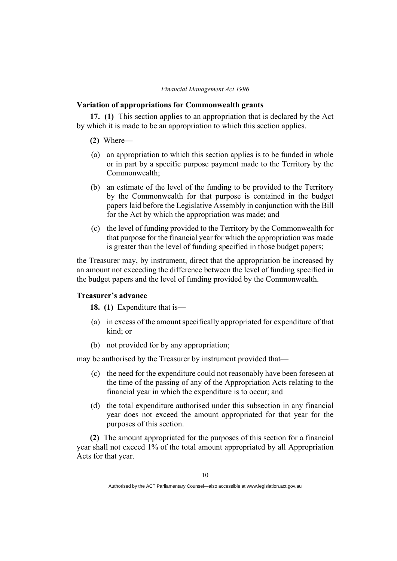#### **Variation of appropriations for Commonwealth grants**

**17. (1)** This section applies to an appropriation that is declared by the Act by which it is made to be an appropriation to which this section applies.

- **(2)** Where—
- (a) an appropriation to which this section applies is to be funded in whole or in part by a specific purpose payment made to the Territory by the Commonwealth;
- (b) an estimate of the level of the funding to be provided to the Territory by the Commonwealth for that purpose is contained in the budget papers laid before the Legislative Assembly in conjunction with the Bill for the Act by which the appropriation was made; and
- (c) the level of funding provided to the Territory by the Commonwealth for that purpose for the financial year for which the appropriation was made is greater than the level of funding specified in those budget papers;

the Treasurer may, by instrument, direct that the appropriation be increased by an amount not exceeding the difference between the level of funding specified in the budget papers and the level of funding provided by the Commonwealth.

## **Treasurer's advance**

**18. (1)** Expenditure that is—

- (a) in excess of the amount specifically appropriated for expenditure of that kind; or
- (b) not provided for by any appropriation;

may be authorised by the Treasurer by instrument provided that—

- (c) the need for the expenditure could not reasonably have been foreseen at the time of the passing of any of the Appropriation Acts relating to the financial year in which the expenditure is to occur; and
- (d) the total expenditure authorised under this subsection in any financial year does not exceed the amount appropriated for that year for the purposes of this section.

**(2)** The amount appropriated for the purposes of this section for a financial year shall not exceed 1% of the total amount appropriated by all Appropriation Acts for that year.

Authorised by the ACT Parliamentary Counsel—also accessible at www.legislation.act.gov.au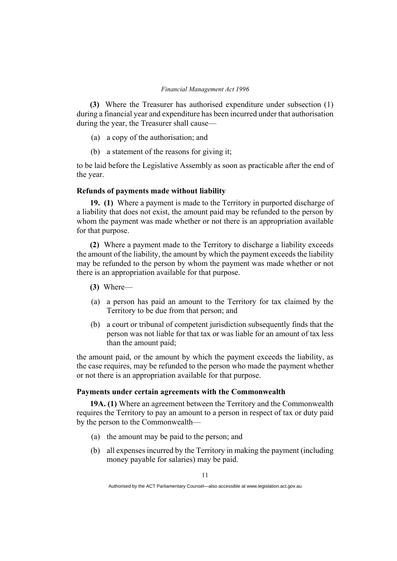**(3)** Where the Treasurer has authorised expenditure under subsection (1) during a financial year and expenditure has been incurred under that authorisation during the year, the Treasurer shall cause—

- (a) a copy of the authorisation; and
- (b) a statement of the reasons for giving it;

to be laid before the Legislative Assembly as soon as practicable after the end of the year.

## **Refunds of payments made without liability**

**19. (1)** Where a payment is made to the Territory in purported discharge of a liability that does not exist, the amount paid may be refunded to the person by whom the payment was made whether or not there is an appropriation available for that purpose.

**(2)** Where a payment made to the Territory to discharge a liability exceeds the amount of the liability, the amount by which the payment exceeds the liability may be refunded to the person by whom the payment was made whether or not there is an appropriation available for that purpose.

- **(3)** Where—
- (a) a person has paid an amount to the Territory for tax claimed by the Territory to be due from that person; and
- (b) a court or tribunal of competent jurisdiction subsequently finds that the person was not liable for that tax or was liable for an amount of tax less than the amount paid;

the amount paid, or the amount by which the payment exceeds the liability, as the case requires, may be refunded to the person who made the payment whether or not there is an appropriation available for that purpose.

## **Payments under certain agreements with the Commonwealth**

**19A. (1)** Where an agreement between the Territory and the Commonwealth requires the Territory to pay an amount to a person in respect of tax or duty paid by the person to the Commonwealth—

- (a) the amount may be paid to the person; and
- (b) all expenses incurred by the Territory in making the payment (including money payable for salaries) may be paid.

Authorised by the ACT Parliamentary Counsel—also accessible at www.legislation.act.gov.au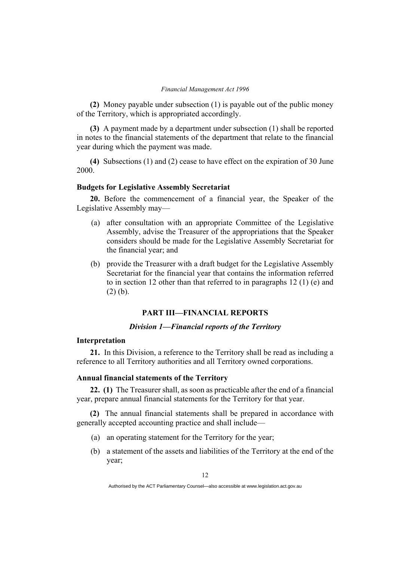**(2)** Money payable under subsection (1) is payable out of the public money of the Territory, which is appropriated accordingly.

**(3)** A payment made by a department under subsection (1) shall be reported in notes to the financial statements of the department that relate to the financial year during which the payment was made.

**(4)** Subsections (1) and (2) cease to have effect on the expiration of 30 June 2000.

## **Budgets for Legislative Assembly Secretariat**

**20.** Before the commencement of a financial year, the Speaker of the Legislative Assembly may—

- (a) after consultation with an appropriate Committee of the Legislative Assembly, advise the Treasurer of the appropriations that the Speaker considers should be made for the Legislative Assembly Secretariat for the financial year; and
- (b) provide the Treasurer with a draft budget for the Legislative Assembly Secretariat for the financial year that contains the information referred to in section 12 other than that referred to in paragraphs 12 (1) (e) and (2) (b).

## **PART III—FINANCIAL REPORTS**

## *Division 1—Financial reports of the Territory*

## **Interpretation**

**21.** In this Division, a reference to the Territory shall be read as including a reference to all Territory authorities and all Territory owned corporations.

## **Annual financial statements of the Territory**

**22. (1)** The Treasurer shall, as soon as practicable after the end of a financial year, prepare annual financial statements for the Territory for that year.

**(2)** The annual financial statements shall be prepared in accordance with generally accepted accounting practice and shall include—

- (a) an operating statement for the Territory for the year;
- (b) a statement of the assets and liabilities of the Territory at the end of the year;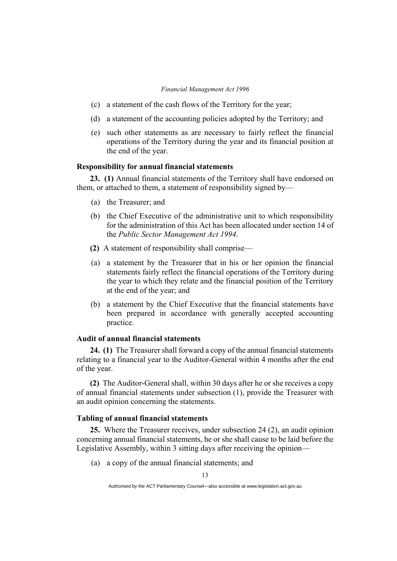- (c) a statement of the cash flows of the Territory for the year;
- (d) a statement of the accounting policies adopted by the Territory; and
- (e) such other statements as are necessary to fairly reflect the financial operations of the Territory during the year and its financial position at the end of the year.

## **Responsibility for annual financial statements**

**23. (1)** Annual financial statements of the Territory shall have endorsed on them, or attached to them, a statement of responsibility signed by—

- (a) the Treasurer; and
- (b) the Chief Executive of the administrative unit to which responsibility for the administration of this Act has been allocated under section 14 of the *Public Sector Management Act 1994*.
- **(2)** A statement of responsibility shall comprise—
- (a) a statement by the Treasurer that in his or her opinion the financial statements fairly reflect the financial operations of the Territory during the year to which they relate and the financial position of the Territory at the end of the year; and
- (b) a statement by the Chief Executive that the financial statements have been prepared in accordance with generally accepted accounting practice.

## **Audit of annual financial statements**

**24. (1)** The Treasurer shall forward a copy of the annual financial statements relating to a financial year to the Auditor-General within 4 months after the end of the year.

**(2)** The Auditor-General shall, within 30 days after he or she receives a copy of annual financial statements under subsection (1), provide the Treasurer with an audit opinion concerning the statements.

## **Tabling of annual financial statements**

**25.** Where the Treasurer receives, under subsection 24 (2), an audit opinion concerning annual financial statements, he or she shall cause to be laid before the Legislative Assembly, within 3 sitting days after receiving the opinion—

(a) a copy of the annual financial statements; and

Authorised by the ACT Parliamentary Counsel—also accessible at www.legislation.act.gov.au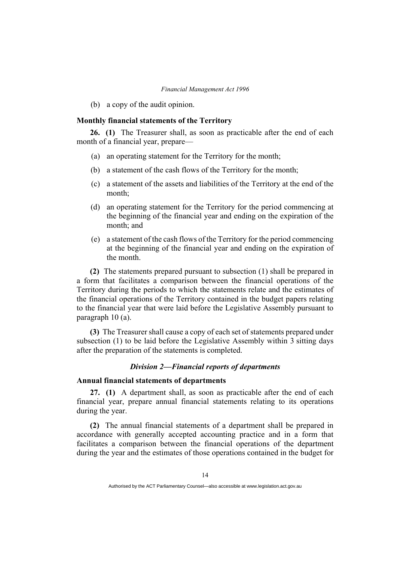(b) a copy of the audit opinion.

## **Monthly financial statements of the Territory**

**26. (1)** The Treasurer shall, as soon as practicable after the end of each month of a financial year, prepare—

- (a) an operating statement for the Territory for the month;
- (b) a statement of the cash flows of the Territory for the month;
- (c) a statement of the assets and liabilities of the Territory at the end of the month;
- (d) an operating statement for the Territory for the period commencing at the beginning of the financial year and ending on the expiration of the month; and
- (e) a statement of the cash flows of the Territory for the period commencing at the beginning of the financial year and ending on the expiration of the month.

**(2)** The statements prepared pursuant to subsection (1) shall be prepared in a form that facilitates a comparison between the financial operations of the Territory during the periods to which the statements relate and the estimates of the financial operations of the Territory contained in the budget papers relating to the financial year that were laid before the Legislative Assembly pursuant to paragraph 10 (a).

**(3)** The Treasurer shall cause a copy of each set of statements prepared under subsection (1) to be laid before the Legislative Assembly within 3 sitting days after the preparation of the statements is completed.

## *Division 2—Financial reports of departments*

## **Annual financial statements of departments**

**27. (1)** A department shall, as soon as practicable after the end of each financial year, prepare annual financial statements relating to its operations during the year.

**(2)** The annual financial statements of a department shall be prepared in accordance with generally accepted accounting practice and in a form that facilitates a comparison between the financial operations of the department during the year and the estimates of those operations contained in the budget for

Authorised by the ACT Parliamentary Counsel—also accessible at www.legislation.act.gov.au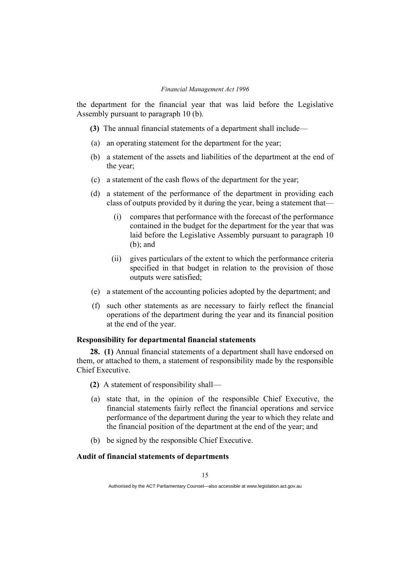the department for the financial year that was laid before the Legislative Assembly pursuant to paragraph 10 (b).

- **(3)** The annual financial statements of a department shall include—
- (a) an operating statement for the department for the year;
- (b) a statement of the assets and liabilities of the department at the end of the year;
- (c) a statement of the cash flows of the department for the year;
- (d) a statement of the performance of the department in providing each class of outputs provided by it during the year, being a statement that—
	- (i) compares that performance with the forecast of the performance contained in the budget for the department for the year that was laid before the Legislative Assembly pursuant to paragraph 10 (b); and
	- (ii) gives particulars of the extent to which the performance criteria specified in that budget in relation to the provision of those outputs were satisfied;
- (e) a statement of the accounting policies adopted by the department; and
- (f) such other statements as are necessary to fairly reflect the financial operations of the department during the year and its financial position at the end of the year.

## **Responsibility for departmental financial statements**

**28. (1)** Annual financial statements of a department shall have endorsed on them, or attached to them, a statement of responsibility made by the responsible Chief Executive.

- **(2)** A statement of responsibility shall—
- (a) state that, in the opinion of the responsible Chief Executive, the financial statements fairly reflect the financial operations and service performance of the department during the year to which they relate and the financial position of the department at the end of the year; and
- (b) be signed by the responsible Chief Executive.

## **Audit of financial statements of departments**

Authorised by the ACT Parliamentary Counsel—also accessible at www.legislation.act.gov.au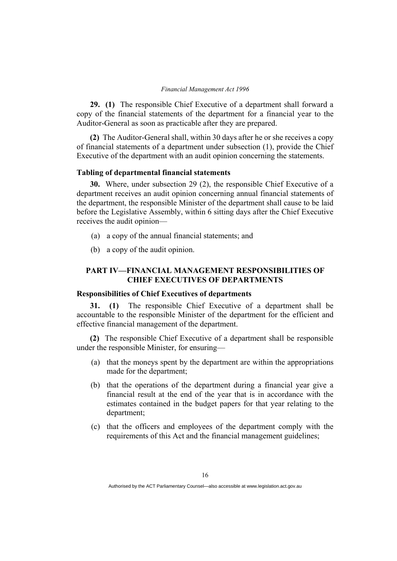**29. (1)** The responsible Chief Executive of a department shall forward a copy of the financial statements of the department for a financial year to the Auditor-General as soon as practicable after they are prepared.

**(2)** The Auditor-General shall, within 30 days after he or she receives a copy of financial statements of a department under subsection (1), provide the Chief Executive of the department with an audit opinion concerning the statements.

## **Tabling of departmental financial statements**

**30.** Where, under subsection 29 (2), the responsible Chief Executive of a department receives an audit opinion concerning annual financial statements of the department, the responsible Minister of the department shall cause to be laid before the Legislative Assembly, within 6 sitting days after the Chief Executive receives the audit opinion—

- (a) a copy of the annual financial statements; and
- (b) a copy of the audit opinion.

## **PART IV—FINANCIAL MANAGEMENT RESPONSIBILITIES OF CHIEF EXECUTIVES OF DEPARTMENTS**

#### **Responsibilities of Chief Executives of departments**

**31. (1)** The responsible Chief Executive of a department shall be accountable to the responsible Minister of the department for the efficient and effective financial management of the department.

**(2)** The responsible Chief Executive of a department shall be responsible under the responsible Minister, for ensuring—

- (a) that the moneys spent by the department are within the appropriations made for the department;
- (b) that the operations of the department during a financial year give a financial result at the end of the year that is in accordance with the estimates contained in the budget papers for that year relating to the department;
- (c) that the officers and employees of the department comply with the requirements of this Act and the financial management guidelines;

Authorised by the ACT Parliamentary Counsel—also accessible at www.legislation.act.gov.au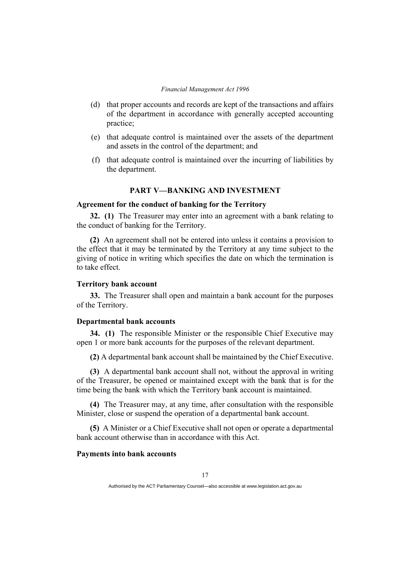- (d) that proper accounts and records are kept of the transactions and affairs of the department in accordance with generally accepted accounting practice;
- (e) that adequate control is maintained over the assets of the department and assets in the control of the department; and
- (f) that adequate control is maintained over the incurring of liabilities by the department.

## **PART V—BANKING AND INVESTMENT**

## **Agreement for the conduct of banking for the Territory**

**32. (1)** The Treasurer may enter into an agreement with a bank relating to the conduct of banking for the Territory.

**(2)** An agreement shall not be entered into unless it contains a provision to the effect that it may be terminated by the Territory at any time subject to the giving of notice in writing which specifies the date on which the termination is to take effect.

#### **Territory bank account**

**33.** The Treasurer shall open and maintain a bank account for the purposes of the Territory.

#### **Departmental bank accounts**

**34. (1)** The responsible Minister or the responsible Chief Executive may open 1 or more bank accounts for the purposes of the relevant department.

**(2)** A departmental bank account shall be maintained by the Chief Executive.

**(3)** A departmental bank account shall not, without the approval in writing of the Treasurer, be opened or maintained except with the bank that is for the time being the bank with which the Territory bank account is maintained.

**(4)** The Treasurer may, at any time, after consultation with the responsible Minister, close or suspend the operation of a departmental bank account.

**(5)** A Minister or a Chief Executive shall not open or operate a departmental bank account otherwise than in accordance with this Act.

#### **Payments into bank accounts**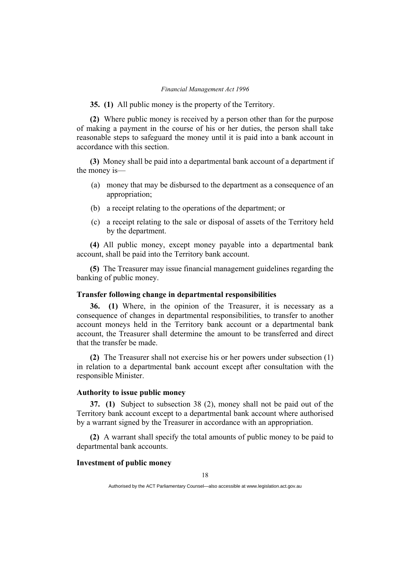**35. (1)** All public money is the property of the Territory.

**(2)** Where public money is received by a person other than for the purpose of making a payment in the course of his or her duties, the person shall take reasonable steps to safeguard the money until it is paid into a bank account in accordance with this section.

**(3)** Money shall be paid into a departmental bank account of a department if the money is—

- (a) money that may be disbursed to the department as a consequence of an appropriation;
- (b) a receipt relating to the operations of the department; or
- (c) a receipt relating to the sale or disposal of assets of the Territory held by the department.

**(4)** All public money, except money payable into a departmental bank account, shall be paid into the Territory bank account.

**(5)** The Treasurer may issue financial management guidelines regarding the banking of public money.

## **Transfer following change in departmental responsibilities**

**36. (1)** Where, in the opinion of the Treasurer, it is necessary as a consequence of changes in departmental responsibilities, to transfer to another account moneys held in the Territory bank account or a departmental bank account, the Treasurer shall determine the amount to be transferred and direct that the transfer be made.

**(2)** The Treasurer shall not exercise his or her powers under subsection (1) in relation to a departmental bank account except after consultation with the responsible Minister.

## **Authority to issue public money**

**37. (1)** Subject to subsection 38 (2), money shall not be paid out of the Territory bank account except to a departmental bank account where authorised by a warrant signed by the Treasurer in accordance with an appropriation.

**(2)** A warrant shall specify the total amounts of public money to be paid to departmental bank accounts.

## **Investment of public money**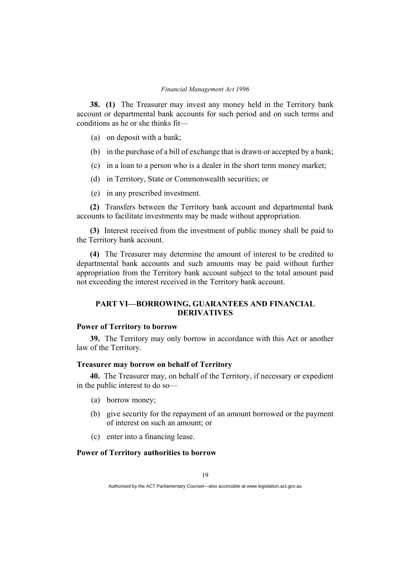**38. (1)** The Treasurer may invest any money held in the Territory bank account or departmental bank accounts for such period and on such terms and conditions as he or she thinks fit—

- (a) on deposit with a bank;
- (b) in the purchase of a bill of exchange that is drawn or accepted by a bank;
- (c) in a loan to a person who is a dealer in the short term money market;
- (d) in Territory, State or Commonwealth securities; or
- (e) in any prescribed investment.

**(2)** Transfers between the Territory bank account and departmental bank accounts to facilitate investments may be made without appropriation.

**(3)** Interest received from the investment of public money shall be paid to the Territory bank account.

**(4)** The Treasurer may determine the amount of interest to be credited to departmental bank accounts and such amounts may be paid without further appropriation from the Territory bank account subject to the total amount paid not exceeding the interest received in the Territory bank account.

## **PART VI—BORROWING, GUARANTEES AND FINANCIAL DERIVATIVES**

## **Power of Territory to borrow**

**39.** The Territory may only borrow in accordance with this Act or another law of the Territory.

## **Treasurer may borrow on behalf of Territory**

**40.** The Treasurer may, on behalf of the Territory, if necessary or expedient in the public interest to do so—

- (a) borrow money;
- (b) give security for the repayment of an amount borrowed or the payment of interest on such an amount; or
- (c) enter into a financing lease.

## **Power of Territory authorities to borrow**

Authorised by the ACT Parliamentary Counsel—also accessible at www.legislation.act.gov.au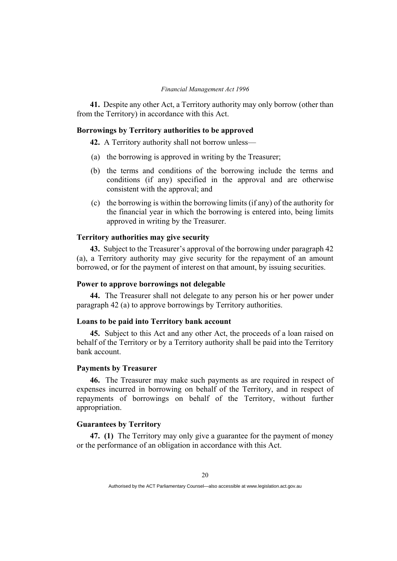**41.** Despite any other Act, a Territory authority may only borrow (other than from the Territory) in accordance with this Act.

## **Borrowings by Territory authorities to be approved**

**42.** A Territory authority shall not borrow unless—

- (a) the borrowing is approved in writing by the Treasurer;
- (b) the terms and conditions of the borrowing include the terms and conditions (if any) specified in the approval and are otherwise consistent with the approval; and
- (c) the borrowing is within the borrowing limits (if any) of the authority for the financial year in which the borrowing is entered into, being limits approved in writing by the Treasurer.

## **Territory authorities may give security**

**43.** Subject to the Treasurer's approval of the borrowing under paragraph 42 (a), a Territory authority may give security for the repayment of an amount borrowed, or for the payment of interest on that amount, by issuing securities.

## **Power to approve borrowings not delegable**

**44.** The Treasurer shall not delegate to any person his or her power under paragraph 42 (a) to approve borrowings by Territory authorities.

#### **Loans to be paid into Territory bank account**

**45.** Subject to this Act and any other Act, the proceeds of a loan raised on behalf of the Territory or by a Territory authority shall be paid into the Territory bank account.

## **Payments by Treasurer**

**46.** The Treasurer may make such payments as are required in respect of expenses incurred in borrowing on behalf of the Territory, and in respect of repayments of borrowings on behalf of the Territory, without further appropriation.

#### **Guarantees by Territory**

**47. (1)** The Territory may only give a guarantee for the payment of money or the performance of an obligation in accordance with this Act.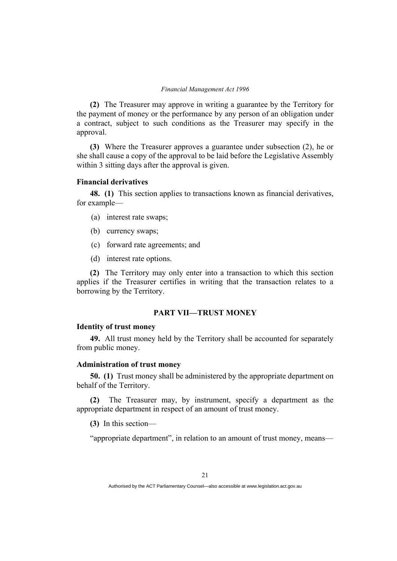**(2)** The Treasurer may approve in writing a guarantee by the Territory for the payment of money or the performance by any person of an obligation under a contract, subject to such conditions as the Treasurer may specify in the approval.

**(3)** Where the Treasurer approves a guarantee under subsection (2), he or she shall cause a copy of the approval to be laid before the Legislative Assembly within 3 sitting days after the approval is given.

#### **Financial derivatives**

**48. (1)** This section applies to transactions known as financial derivatives, for example—

- (a) interest rate swaps;
- (b) currency swaps;
- (c) forward rate agreements; and
- (d) interest rate options.

**(2)** The Territory may only enter into a transaction to which this section applies if the Treasurer certifies in writing that the transaction relates to a borrowing by the Territory.

## **PART VII—TRUST MONEY**

## **Identity of trust money**

**49.** All trust money held by the Territory shall be accounted for separately from public money.

## **Administration of trust money**

**50. (1)** Trust money shall be administered by the appropriate department on behalf of the Territory.

**(2)** The Treasurer may, by instrument, specify a department as the appropriate department in respect of an amount of trust money.

**(3)** In this section—

"appropriate department", in relation to an amount of trust money, means—

Authorised by the ACT Parliamentary Counsel—also accessible at www.legislation.act.gov.au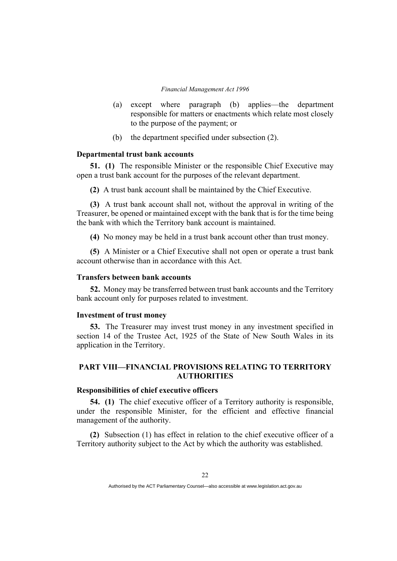- (a) except where paragraph (b) applies—the department responsible for matters or enactments which relate most closely to the purpose of the payment; or
- (b) the department specified under subsection (2).

#### **Departmental trust bank accounts**

**51. (1)** The responsible Minister or the responsible Chief Executive may open a trust bank account for the purposes of the relevant department.

**(2)** A trust bank account shall be maintained by the Chief Executive.

**(3)** A trust bank account shall not, without the approval in writing of the Treasurer, be opened or maintained except with the bank that is for the time being the bank with which the Territory bank account is maintained.

**(4)** No money may be held in a trust bank account other than trust money.

**(5)** A Minister or a Chief Executive shall not open or operate a trust bank account otherwise than in accordance with this Act.

### **Transfers between bank accounts**

**52.** Money may be transferred between trust bank accounts and the Territory bank account only for purposes related to investment.

#### **Investment of trust money**

**53.** The Treasurer may invest trust money in any investment specified in section 14 of the Trustee Act, 1925 of the State of New South Wales in its application in the Territory.

## **PART VIII—FINANCIAL PROVISIONS RELATING TO TERRITORY AUTHORITIES**

## **Responsibilities of chief executive officers**

**54. (1)** The chief executive officer of a Territory authority is responsible, under the responsible Minister, for the efficient and effective financial management of the authority.

**(2)** Subsection (1) has effect in relation to the chief executive officer of a Territory authority subject to the Act by which the authority was established.

Authorised by the ACT Parliamentary Counsel—also accessible at www.legislation.act.gov.au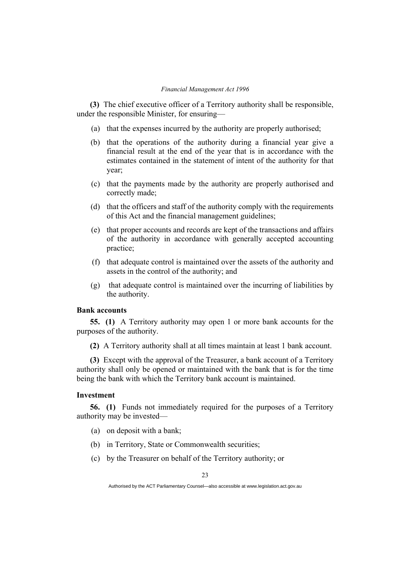**(3)** The chief executive officer of a Territory authority shall be responsible, under the responsible Minister, for ensuring—

- (a) that the expenses incurred by the authority are properly authorised;
- (b) that the operations of the authority during a financial year give a financial result at the end of the year that is in accordance with the estimates contained in the statement of intent of the authority for that year;
- (c) that the payments made by the authority are properly authorised and correctly made;
- (d) that the officers and staff of the authority comply with the requirements of this Act and the financial management guidelines;
- (e) that proper accounts and records are kept of the transactions and affairs of the authority in accordance with generally accepted accounting practice;
- (f) that adequate control is maintained over the assets of the authority and assets in the control of the authority; and
- (g) that adequate control is maintained over the incurring of liabilities by the authority.

## **Bank accounts**

**55. (1)** A Territory authority may open 1 or more bank accounts for the purposes of the authority.

**(2)** A Territory authority shall at all times maintain at least 1 bank account.

**(3)** Except with the approval of the Treasurer, a bank account of a Territory authority shall only be opened or maintained with the bank that is for the time being the bank with which the Territory bank account is maintained.

## **Investment**

**56. (1)** Funds not immediately required for the purposes of a Territory authority may be invested—

- (a) on deposit with a bank;
- (b) in Territory, State or Commonwealth securities;
- (c) by the Treasurer on behalf of the Territory authority; or

Authorised by the ACT Parliamentary Counsel—also accessible at www.legislation.act.gov.au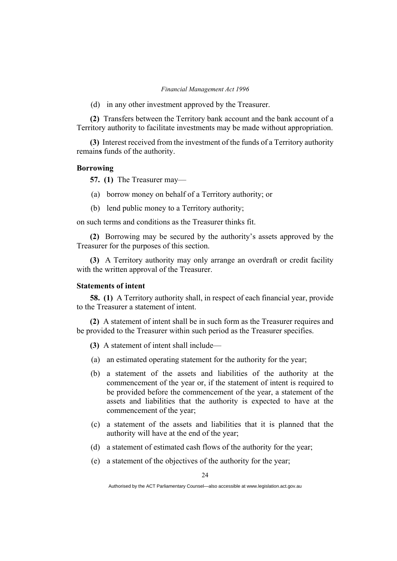(d) in any other investment approved by the Treasurer.

**(2)** Transfers between the Territory bank account and the bank account of a Territory authority to facilitate investments may be made without appropriation.

**(3)** Interest received from the investment of the funds of a Territory authority remain**s** funds of the authority.

#### **Borrowing**

**57. (1)** The Treasurer may—

- (a) borrow money on behalf of a Territory authority; or
- (b) lend public money to a Territory authority;

on such terms and conditions as the Treasurer thinks fit.

**(2)** Borrowing may be secured by the authority's assets approved by the Treasurer for the purposes of this section.

**(3)** A Territory authority may only arrange an overdraft or credit facility with the written approval of the Treasurer.

#### **Statements of intent**

**58. (1)** A Territory authority shall, in respect of each financial year, provide to the Treasurer a statement of intent.

**(2)** A statement of intent shall be in such form as the Treasurer requires and be provided to the Treasurer within such period as the Treasurer specifies.

- **(3)** A statement of intent shall include—
- (a) an estimated operating statement for the authority for the year;
- (b) a statement of the assets and liabilities of the authority at the commencement of the year or, if the statement of intent is required to be provided before the commencement of the year, a statement of the assets and liabilities that the authority is expected to have at the commencement of the year;
- (c) a statement of the assets and liabilities that it is planned that the authority will have at the end of the year;
- (d) a statement of estimated cash flows of the authority for the year;
- (e) a statement of the objectives of the authority for the year;

Authorised by the ACT Parliamentary Counsel—also accessible at www.legislation.act.gov.au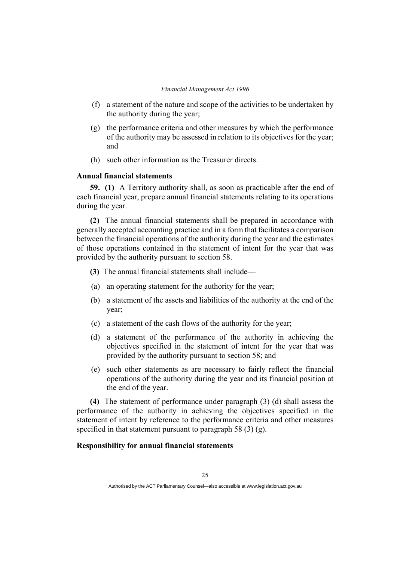- (f) a statement of the nature and scope of the activities to be undertaken by the authority during the year;
- (g) the performance criteria and other measures by which the performance of the authority may be assessed in relation to its objectives for the year; and
- (h) such other information as the Treasurer directs.

#### **Annual financial statements**

**59. (1)** A Territory authority shall, as soon as practicable after the end of each financial year, prepare annual financial statements relating to its operations during the year.

**(2)** The annual financial statements shall be prepared in accordance with generally accepted accounting practice and in a form that facilitates a comparison between the financial operations of the authority during the year and the estimates of those operations contained in the statement of intent for the year that was provided by the authority pursuant to section 58.

- **(3)** The annual financial statements shall include—
- (a) an operating statement for the authority for the year;
- (b) a statement of the assets and liabilities of the authority at the end of the year;
- (c) a statement of the cash flows of the authority for the year;
- (d) a statement of the performance of the authority in achieving the objectives specified in the statement of intent for the year that was provided by the authority pursuant to section 58; and
- (e) such other statements as are necessary to fairly reflect the financial operations of the authority during the year and its financial position at the end of the year.

**(4)** The statement of performance under paragraph (3) (d) shall assess the performance of the authority in achieving the objectives specified in the statement of intent by reference to the performance criteria and other measures specified in that statement pursuant to paragraph 58 (3) (g).

## **Responsibility for annual financial statements**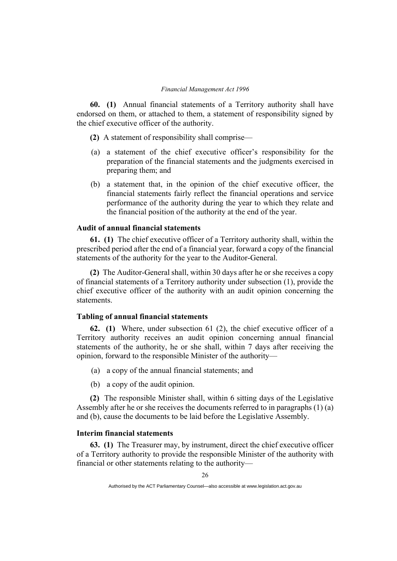**60. (1)** Annual financial statements of a Territory authority shall have endorsed on them, or attached to them, a statement of responsibility signed by the chief executive officer of the authority.

**(2)** A statement of responsibility shall comprise—

- (a) a statement of the chief executive officer's responsibility for the preparation of the financial statements and the judgments exercised in preparing them; and
- (b) a statement that, in the opinion of the chief executive officer, the financial statements fairly reflect the financial operations and service performance of the authority during the year to which they relate and the financial position of the authority at the end of the year.

## **Audit of annual financial statements**

**61. (1)** The chief executive officer of a Territory authority shall, within the prescribed period after the end of a financial year, forward a copy of the financial statements of the authority for the year to the Auditor-General.

**(2)** The Auditor-General shall, within 30 days after he or she receives a copy of financial statements of a Territory authority under subsection (1), provide the chief executive officer of the authority with an audit opinion concerning the statements.

## **Tabling of annual financial statements**

**62. (1)** Where, under subsection 61 (2), the chief executive officer of a Territory authority receives an audit opinion concerning annual financial statements of the authority, he or she shall, within 7 days after receiving the opinion, forward to the responsible Minister of the authority—

- (a) a copy of the annual financial statements; and
- (b) a copy of the audit opinion.

**(2)** The responsible Minister shall, within 6 sitting days of the Legislative Assembly after he or she receives the documents referred to in paragraphs (1) (a) and (b), cause the documents to be laid before the Legislative Assembly.

## **Interim financial statements**

**63. (1)** The Treasurer may, by instrument, direct the chief executive officer of a Territory authority to provide the responsible Minister of the authority with financial or other statements relating to the authority—

Authorised by the ACT Parliamentary Counsel—also accessible at www.legislation.act.gov.au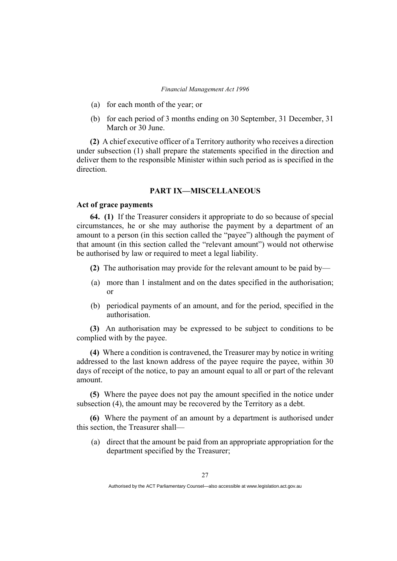- (a) for each month of the year; or
- (b) for each period of 3 months ending on 30 September, 31 December, 31 March or 30 June.

**(2)** A chief executive officer of a Territory authority who receives a direction under subsection (1) shall prepare the statements specified in the direction and deliver them to the responsible Minister within such period as is specified in the direction.

## **PART IX—MISCELLANEOUS**

#### **Act of grace payments**

**64. (1)** If the Treasurer considers it appropriate to do so because of special circumstances, he or she may authorise the payment by a department of an amount to a person (in this section called the "payee") although the payment of that amount (in this section called the "relevant amount") would not otherwise be authorised by law or required to meet a legal liability.

- **(2)** The authorisation may provide for the relevant amount to be paid by—
- (a) more than 1 instalment and on the dates specified in the authorisation; or
- (b) periodical payments of an amount, and for the period, specified in the authorisation.

**(3)** An authorisation may be expressed to be subject to conditions to be complied with by the payee.

**(4)** Where a condition is contravened, the Treasurer may by notice in writing addressed to the last known address of the payee require the payee, within 30 days of receipt of the notice, to pay an amount equal to all or part of the relevant amount.

**(5)** Where the payee does not pay the amount specified in the notice under subsection (4), the amount may be recovered by the Territory as a debt.

**(6)** Where the payment of an amount by a department is authorised under this section, the Treasurer shall—

(a) direct that the amount be paid from an appropriate appropriation for the department specified by the Treasurer;

Authorised by the ACT Parliamentary Counsel—also accessible at www.legislation.act.gov.au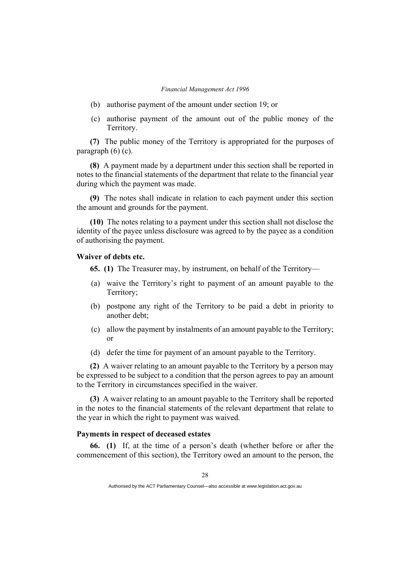- (b) authorise payment of the amount under section 19; or
- (c) authorise payment of the amount out of the public money of the Territory.

**(7)** The public money of the Territory is appropriated for the purposes of paragraph (6) (c).

**(8)** A payment made by a department under this section shall be reported in notes to the financial statements of the department that relate to the financial year during which the payment was made.

**(9)** The notes shall indicate in relation to each payment under this section the amount and grounds for the payment.

**(10)** The notes relating to a payment under this section shall not disclose the identity of the payee unless disclosure was agreed to by the payee as a condition of authorising the payment.

## **Waiver of debts etc.**

**65. (1)** The Treasurer may, by instrument, on behalf of the Territory—

- (a) waive the Territory's right to payment of an amount payable to the Territory;
- (b) postpone any right of the Territory to be paid a debt in priority to another debt;
- (c) allow the payment by instalments of an amount payable to the Territory; or
- (d) defer the time for payment of an amount payable to the Territory.

**(2)** A waiver relating to an amount payable to the Territory by a person may be expressed to be subject to a condition that the person agrees to pay an amount to the Territory in circumstances specified in the waiver.

**(3)** A waiver relating to an amount payable to the Territory shall be reported in the notes to the financial statements of the relevant department that relate to the year in which the right to payment was waived.

## **Payments in respect of deceased estates**

**66. (1)** If, at the time of a person's death (whether before or after the commencement of this section), the Territory owed an amount to the person, the

Authorised by the ACT Parliamentary Counsel—also accessible at www.legislation.act.gov.au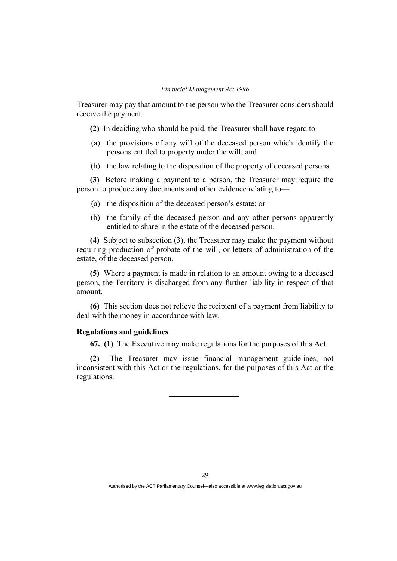Treasurer may pay that amount to the person who the Treasurer considers should receive the payment.

- **(2)** In deciding who should be paid, the Treasurer shall have regard to—
- (a) the provisions of any will of the deceased person which identify the persons entitled to property under the will; and
- (b) the law relating to the disposition of the property of deceased persons.

**(3)** Before making a payment to a person, the Treasurer may require the person to produce any documents and other evidence relating to—

- (a) the disposition of the deceased person's estate; or
- (b) the family of the deceased person and any other persons apparently entitled to share in the estate of the deceased person.

**(4)** Subject to subsection (3), the Treasurer may make the payment without requiring production of probate of the will, or letters of administration of the estate, of the deceased person.

**(5)** Where a payment is made in relation to an amount owing to a deceased person, the Territory is discharged from any further liability in respect of that amount.

**(6)** This section does not relieve the recipient of a payment from liability to deal with the money in accordance with law.

## **Regulations and guidelines**

**67. (1)** The Executive may make regulations for the purposes of this Act.

**(2)** The Treasurer may issue financial management guidelines, not inconsistent with this Act or the regulations, for the purposes of this Act or the regulations.